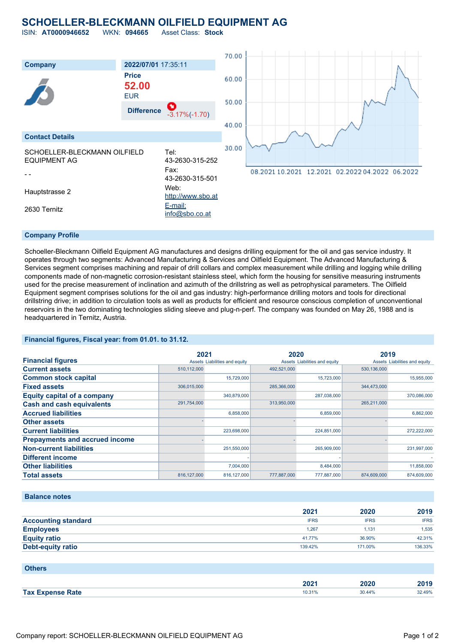## **SCHOELLER-BLECKMANN OILFIELD EQUIPMENT AG**

ISIN: **AT0000946652** WKN: **094665** Asset Class: **Stock**

70.00 **Company 2022/07/01** 17:35:11 **Price** 60.00 **52.00** EUR 50.00 **Difference** -3.17%(-1.70) 40.00 **Contact Details** 30.00 SCHOELLER-BLECKMANN OILFIELD Tel: EQUIPMENT AG 43-2630-315-252 Fax: 08.2021 10.2021 12.2021 02.2022 04.2022 06.2022 - - 43-2630-315-501 Hauptstrasse 2 Web: [http://www.sbo.at](http://www.sbo.at/) 2630 Ternitz [E-mail:](mailto:info@sbo.co.at) [info@sbo.co.at](mailto:info@sbo.co.at)

#### **Company Profile**

Schoeller-Bleckmann Oilfield Equipment AG manufactures and designs drilling equipment for the oil and gas service industry. It operates through two segments: Advanced Manufacturing & Services and Oilfield Equipment. The Advanced Manufacturing & Services segment comprises machining and repair of drill collars and complex measurement while drilling and logging while drilling components made of non-magnetic corrosion-resistant stainless steel, which form the housing for sensitive measuring instruments used for the precise measurement of inclination and azimuth of the drillstring as well as petrophysical parameters. The Oilfield Equipment segment comprises solutions for the oil and gas industry: high-performance drilling motors and tools for directional drillstring drive; in addition to circulation tools as well as products for efficient and resource conscious completion of unconventional reservoirs in the two dominating technologies sliding sleeve and plug-n-perf. The company was founded on May 26, 1988 and is headquartered in Ternitz, Austria.

#### **Financial figures, Fiscal year: from 01.01. to 31.12.**

|                                       | 2021          |                               | 2020        |                               | 2019        |                               |
|---------------------------------------|---------------|-------------------------------|-------------|-------------------------------|-------------|-------------------------------|
| <b>Financial figures</b>              |               | Assets Liabilities and equity |             | Assets Liabilities and equity |             | Assets Liabilities and equity |
| <b>Current assets</b>                 | 510,112,000   |                               | 492,521,000 |                               | 530,136,000 |                               |
| <b>Common stock capital</b>           |               | 15.729.000                    |             | 15.723.000                    |             | 15.955.000                    |
| <b>Fixed assets</b>                   | 306,015,000   |                               | 285,366,000 |                               | 344.473.000 |                               |
| <b>Equity capital of a company</b>    |               | 340,879,000                   |             | 287,038,000                   |             | 370,086,000                   |
| <b>Cash and cash equivalents</b>      | 291,754,000   |                               | 313,950,000 |                               | 265,211,000 |                               |
| <b>Accrued liabilities</b>            |               | 6,858,000                     |             | 6,859,000                     |             | 6.862.000                     |
| <b>Other assets</b>                   |               |                               |             |                               |             |                               |
| <b>Current liabilities</b>            |               | 223,698,000                   |             | 224,851,000                   |             | 272,222,000                   |
| <b>Prepayments and accrued income</b> |               |                               |             |                               |             |                               |
| <b>Non-current liabilities</b>        |               | 251,550,000                   |             | 265,909,000                   |             | 231,997,000                   |
| <b>Different income</b>               |               |                               |             |                               |             |                               |
| <b>Other liabilities</b>              |               | 7,004,000                     |             | 8,484,000                     |             | 11,858,000                    |
| <b>Total assets</b>                   | 816, 127, 000 | 816, 127, 000                 | 777,887,000 | 777,887,000                   | 874,609,000 | 874.609.000                   |

#### **Balance notes**

|                            | 2021        | 2020        | 2019        |
|----------------------------|-------------|-------------|-------------|
| <b>Accounting standard</b> | <b>IFRS</b> | <b>IFRS</b> | <b>IFRS</b> |
| <b>Employees</b>           | 1.267       | 1.131       | 1.535       |
| <b>Equity ratio</b>        | 41.77%      | 36.90%      | 42.31%      |
| Debt-equity ratio          | 139.42%     | 171.00%     | 136.33%     |

#### **Others**

|                         | ירחר   | 2020   | - 13   |
|-------------------------|--------|--------|--------|
| <b>Tax Expense Rate</b> | 10.31% | 30.44% | 32.49% |